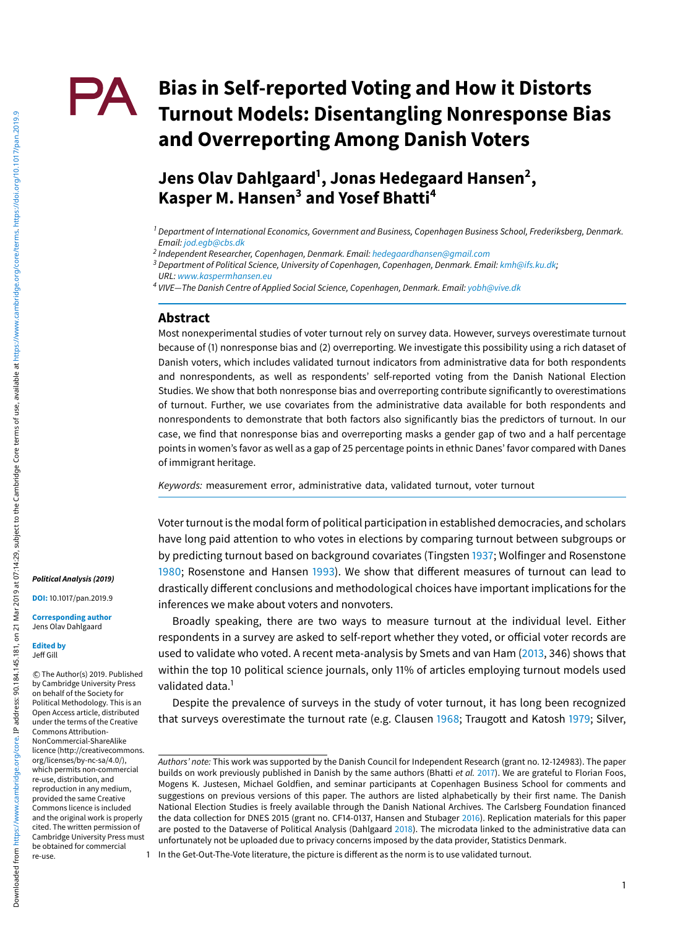# **Bias in Self-reported Voting and How it Distorts** PA. **Turnout Models: Disentangling Nonresponse Bias and Overreporting Among Danish Voters**

**Jens Olav Dahlgaard<sup>1</sup> , Jonas Hedegaard Hansen<sup>2</sup> , Kasper M. Hansen<sup>3</sup> and Yosef Bhatti<sup>4</sup>**

#### **Abstract**

Most nonexperimental studies of voter turnout rely on survey data. However, surveys overestimate turnout because of (1) nonresponse bias and (2) overreporting. We investigate this possibility using a rich dataset of Danish voters, which includes validated turnout indicators from administrative data for both respondents and nonrespondents, as well as respondents' self-reported voting from the Danish National Election Studies. We show that both nonresponse bias and overreporting contribute significantly to overestimations of turnout. Further, we use covariates from the administrative data available for both respondents and nonrespondents to demonstrate that both factors also significantly bias the predictors of turnout. In our case, we find that nonresponse bias and overreporting masks a gender gap of two and a half percentage points in women's favor as well as a gap of 25 percentage points in ethnic Danes' favor compared with Danes of immigrant heritage.

Keywords: measurement error, administrative data, validated turnout, voter turnout

Voter turnout is the modal form of political participation in established democracies, and scholars have long paid attention to who votes in elections by comparing turnout between subgroups or by predicting turnout based on background covariates (Tingsten 1937; Wolfinger and Rosenstone 1980; Rosenstone and Hansen 1993). We show that different measures of turnout can lead to drastically different conclusions and methodological choices have important implications for the inferences we make about voters and nonvoters.

Broadly speaking, there are two ways to measure turnout at the individual level. Either respondents in a survey are asked to self-report whether they voted, or official voter records are used to validate who voted. A recent meta-analysis by Smets and van Ham (2013, 346) shows that within the top 10 political science journals, only 11% of articles employing turnout models used validated data.<sup>1</sup>

Despite the prevalence of surveys in the study of voter turnout, it has long been recognized that surveys overestimate the turnout rate (e.g. Clausen 1968; Traugott and Katosh 1979; Silver,

**DOI:** 10.1017/pan.2019.9

**Corresponding author** Jens Olav Dahlgaard

**Edited by** Jeff Gill

 c The Author(s) 2019. Published by Cambridge University Press on behalf of the Society for Political Methodology. This is an Open Access article, distributed under the terms of the Creative Commons Attribution-NonCommercial-ShareAlike licence (http://creativecommons. org/licenses/by-nc-sa/4.0/), which permits non-commercial re-use, distribution, and reproduction in any medium, provided the same Creative Commons licence is included and the original work is properly cited. The written permission of Cambridge University Press must be obtained for commercial re-use.

<sup>&</sup>lt;sup>1</sup> Department of International Economics, Government and Business, Copenhagen Business School, Frederiksberg, Denmark. Email: [jod.egb@cbs.dk](mailto:jod.egb@cbs.dk)

<sup>2</sup> Independent Researcher, Copenhagen, Denmark. Email: [hedegaardhansen@gmail.com](mailto:hedegaardhansen@gmail.com)

<sup>&</sup>lt;sup>3</sup> Department of Political Science, University of Copenhagen, Copenhagen, Denmark. Email: [kmh@ifs.ku.dk;](mailto:kmh@ifs.ku.dk) URL: [www.kaspermhansen.eu](http://www.kaspermhansen.eu)

 $4$  VIVE—The Danish Centre of Applied Social Science, Copenhagen, Denmark. Email: [yobh@vive.dk](mailto:yobh@vive.dk)

Authors' note: This work was supported by the Danish Council for Independent Research (grant no. 12-124983). The paper builds on work previously published in Danish by the same authors (Bhatti et al. 2017). We are grateful to Florian Foos, Mogens K. Justesen, Michael Goldfien, and seminar participants at Copenhagen Business School for comments and suggestions on previous versions of this paper. The authors are listed alphabetically by their first name. The Danish National Election Studies is freely available through the Danish National Archives. The Carlsberg Foundation financed the data collection for DNES 2015 (grant no. CF14-0137, Hansen and Stubager 2016). Replication materials for this paper are posted to the Dataverse of Political Analysis (Dahlgaard 2018). The microdata linked to the administrative data can unfortunately not be uploaded due to privacy concerns imposed by the data provider, Statistics Denmark.

<sup>1</sup> In the Get-Out-The-Vote literature, the picture is different as the norm is to use validated turnout.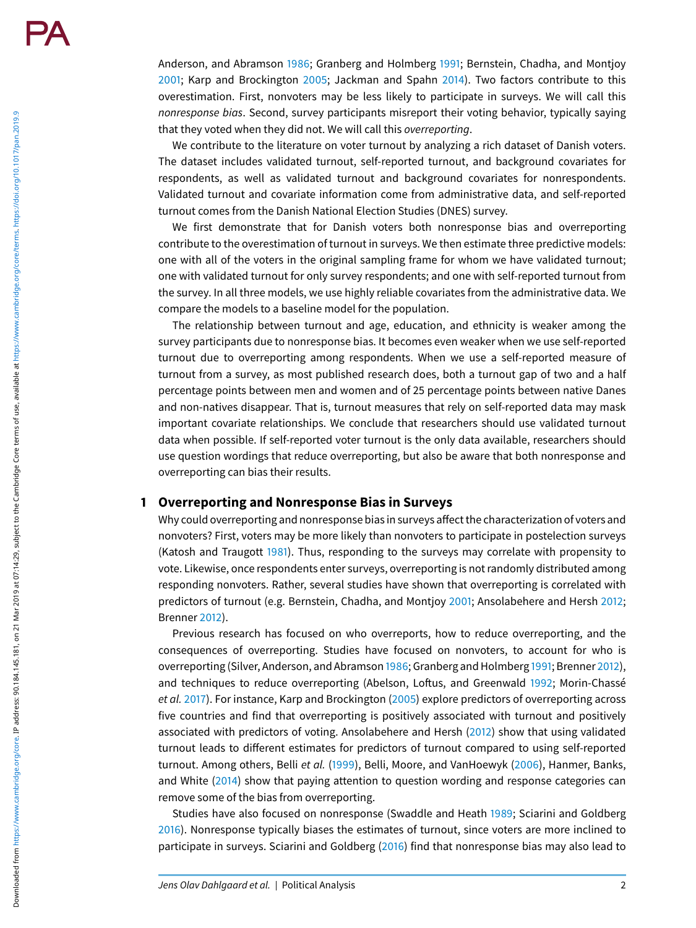Downloaded from https://www.cambridge.org/core. IP address.90.184.145.181, on 21 Mar 2019 at 07:14:29, subject to the Cambridge Core terms of use, available at https://www.cambridge.org/core/terms. https://doi.org/10.1017/ Downloaded from https://www.cambridge.org/core. IP address: 90.194.145.181, on 21 Mar 2019 at 07:14:29, subject to the Cambridge Core terms of use, available at https://www.cambridge.org/core/terms. https://doi.org/10.101 Anderson, and Abramson 1986; Granberg and Holmberg 1991; Bernstein, Chadha, and Montjoy 2001; Karp and Brockington 2005; Jackman and Spahn 2014). Two factors contribute to this overestimation. First, nonvoters may be less likely to participate in surveys. We will call this nonresponse bias. Second, survey participants misreport their voting behavior, typically saying that they voted when they did not. We will call this overreporting .

We contribute to the literature on voter turnout by analyzing a rich dataset of Danish voters. The dataset includes validated turnout, self-reported turnout, and background covariates for respondents, as well as validated turnout and background covariates for nonrespondents. Validated turnout and covariate information come from administrative data, and self-reported turnout comes from the Danish National Election Studies (DNES) survey.

We first demonstrate that for Danish voters both nonresponse bias and overreporting contribute to the overestimation of turnout in surveys. We then estimate three predictive models: one with all of the voters in the original sampling frame for whom we have validated turnout; one with validated turnout for only survey respondents; and one with self-reported turnout from the survey. In all three models, we use highly reliable covariates from the administrative data. We compare the models to a baseline model for the population.

The relationship between turnout and age, education, and ethnicity is weaker among the survey participants due to nonresponse bias. It becomes even weaker when we use self-reported turnout due to overreporting among respondents. When we use a self-reported measure of turnout from a survey, as most published research does, both a turnout gap of two and a half percentage points between men and women and of 25 percentage points between native Danes and non-natives disappear. That is, turnout measures that rely on self-reported data may mask important covariate relationships. We conclude that researchers should use validated turnout data when possible. If self-reported voter turnout is the only data available, researchers should use question wordings that reduce overreporting, but also be aware that both nonresponse and overreporting can bias their results.

## **1 Overreporting and Nonresponse Bias in Surveys**

Why could overreporting and nonresponse bias in surveys affect the characterization of voters and nonvoters? First, voters may be more likely than nonvoters to participate in postelection surveys (Katosh and Traugott 1981). Thus, responding to the surveys may correlate with propensity to vote. Likewise, once respondents enter surveys, overreporting is not randomly distributed among responding nonvoters. Rather, several studies have shown that overreporting is correlated with predictors of turnout (e.g. Bernstein, Chadha, and Montjoy 2001; Ansolabehere and Hersh 2012 ; Brenner 2012).

Previous research has focused on who overreports, how to reduce overreporting, and the consequences of overreporting. Studies have focused on nonvoters, to account for who is overreporting (Silver, Anderson, and Abramson 1986; Granberg and Holmberg 1991; Brenner 2012), and techniques to reduce overreporting (Abelson, Loftus, and Greenwald 1992; Morin-Chassé et al. 2017). For instance, Karp and Brockington (2005) explore predictors of overreporting across five countries and find that overreporting is positively associated with turnout and positively associated with predictors of voting. Ansolabehere and Hersh (2012) show that using validated turnout leads to different estimates for predictors of turnout compared to using self-reported turnout. Among others, Belli *et al.* (1999), Belli, Moore, and VanHoewyk (2006), Hanmer, Banks, and White (2014) show that paying attention to question wording and response categories can remove some of the bias from overreporting.

Studies have also focused on nonresponse (Swaddle and Heath 1989; Sciarini and Goldberg 2016). Nonresponse typically biases the estimates of turnout, since voters are more inclined to participate in surveys. Sciarini and Goldberg (2016) find that nonresponse bias may also lead to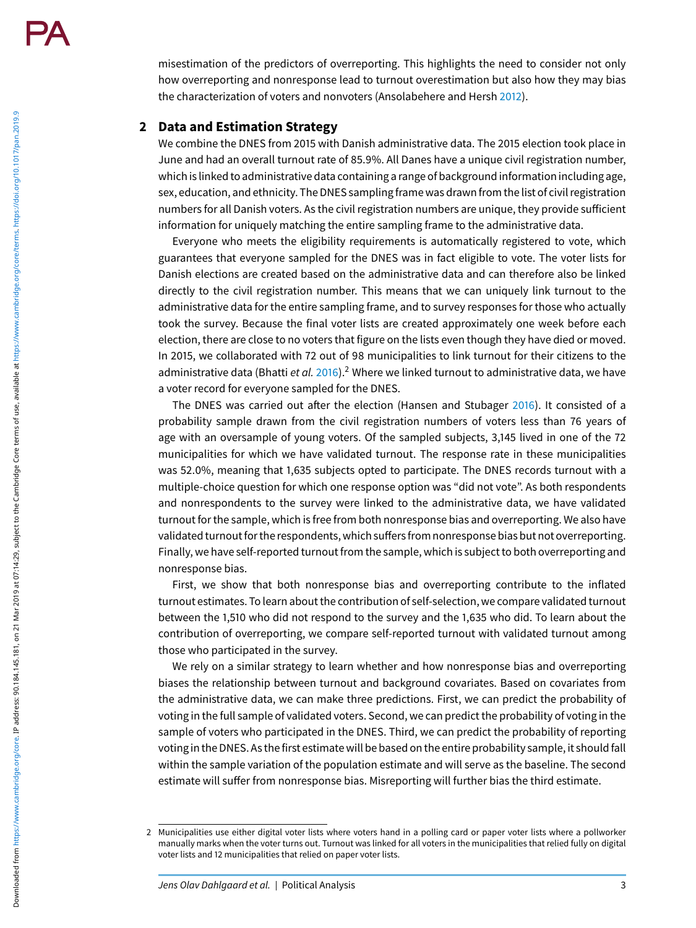misestimation of the predictors of overreporting. This highlights the need to consider not only how overreporting and nonresponse lead to turnout overestimation but also how they may bias the characterization of voters and nonvoters (Ansolabehere and Hersh 2012).

# **2 Data and Estimation Strategy**

We combine the DNES from 2015 with Danish administrative data. The 2015 election took place in June and had an overall turnout rate of 85.9%. All Danes have a unique civil registration number, which is linked to administrative data containing a range of background information including age, sex, education, and ethnicity. The DNES samplingframe was drawnfrom the list of civil registration numbers for all Danish voters. As the civil registration numbers are unique, they provide sufficient information for uniquely matching the entire sampling frame to the administrative data.

Everyone who meets the eligibility requirements is automatically registered to vote, which guarantees that everyone sampled for the DNES was in fact eligible to vote. The voter lists for Danish elections are created based on the administrative data and can therefore also be linked directly to the civil registration number. This means that we can uniquely link turnout to the administrative data for the entire sampling frame, and to survey responses for those who actually took the survey. Because the final voter lists are created approximately one week before each election, there are close to no voters that figure on the lists even though they have died or moved. In 2015, we collaborated with 72 out of 98 municipalities to link turnout for their citizens to the administrative data (Bhatti et al. 2016).<sup>2</sup> Where we linked turnout to administrative data, we have a voter record for everyone sampled for the DNES.

The DNES was carried out after the election (Hansen and Stubager 2016). It consisted of a probability sample drawn from the civil registration numbers of voters less than 76 years of age with an oversample of young voters. Of the sampled subjects, 3,145 lived in one of the 72 municipalities for which we have validated turnout. The response rate in these municipalities was 52.0%, meaning that 1,635 subjects opted to participate. The DNES records turnout with a multiple-choice question for which one response option was "did not vote". As both respondents and nonrespondents to the survey were linked to the administrative data, we have validated turnout for the sample, which is free from both nonresponse bias and overreporting. We also have validated turnout for the respondents, which suffers from nonresponse bias but not overreporting. Finally, we have self-reported turnout from the sample, which is subject to both overreporting and nonresponse bias.

First, we show that both nonresponse bias and overreporting contribute to the inflated turnout estimates. To learn about the contribution of self-selection, we compare validated turnout between the 1,510 who did not respond to the survey and the 1,635 who did. To learn about the contribution of overreporting, we compare self-reported turnout with validated turnout among those who participated in the survey.

We rely on a similar strategy to learn whether and how nonresponse bias and overreporting biases the relationship between turnout and background covariates. Based on covariates from the administrative data, we can make three predictions. First, we can predict the probability of voting in the full sample of validated voters. Second, we can predict the probability of voting in the sample of voters who participated in the DNES. Third, we can predict the probability of reporting voting in the DNES. As the first estimate will be based on the entire probability sample, it should fall within the sample variation of the population estimate and will serve as the baseline. The second estimate will suffer from nonresponse bias. Misreporting will further bias the third estimate.

<sup>2</sup> Municipalities use either digital voter lists where voters hand in a polling card or paper voter lists where a pollworker manually marks when the voter turns out. Turnout was linked for all voters in the municipalities that relied fully on digital voter lists and 12 municipalities that relied on paper voter lists.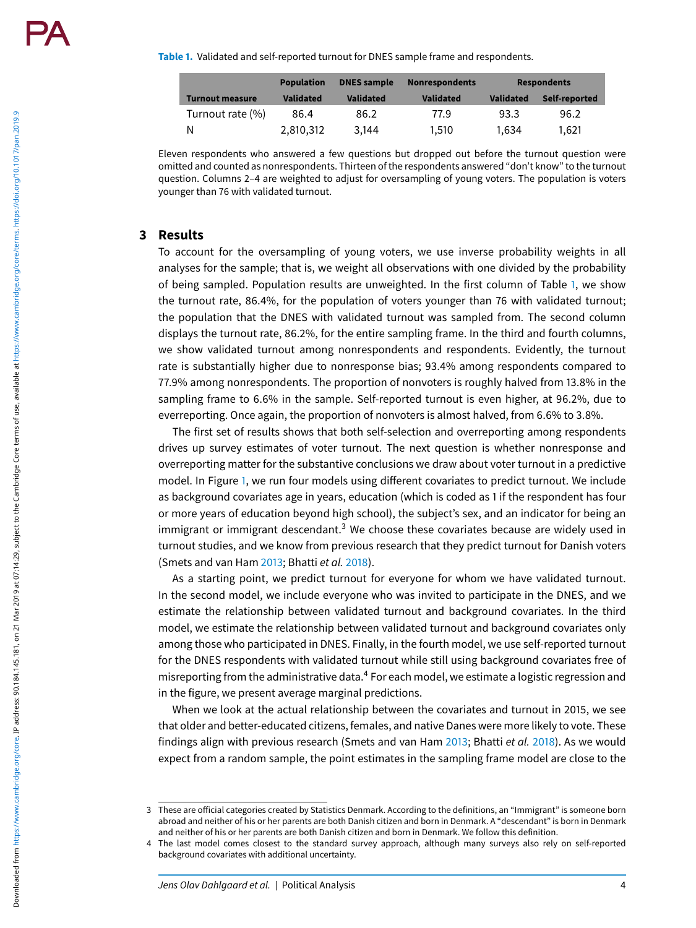**Table 1.** Validated and self-reported turnout for DNES sample frame and respondents.

|                        | <b>Population</b> | <b>DNES</b> sample | <b>Nonrespondents</b> | <b>Respondents</b> |               |
|------------------------|-------------------|--------------------|-----------------------|--------------------|---------------|
| <b>Turnout measure</b> | <b>Validated</b>  | <b>Validated</b>   | <b>Validated</b>      | <b>Validated</b>   | Self-reported |
| Turnout rate (%)       | 86.4              | 86.2               | 77.9                  | 93.3               | 96.2          |
| N                      | 2.810.312         | 3.144              | 1.510                 | 1.634              | 1.621         |

Eleven respondents who answered a few questions but dropped out before the turnout question were omitted and counted as nonrespondents. Thirteen of the respondents answered "don't know" to the turnout question. Columns 2–4 are weighted to adjust for oversampling of young voters. The population is voters younger than 76 with validated turnout.

## **3 Results**

To account for the oversampling of young voters, we use inverse probability weights in all analyses for the sample; that is, we weight all observations with one divided by the probability of being sampled. Population results are unweighted. In the first column of Table 1, we show the turnout rate, 86.4%, for the population of voters younger than 76 with validated turnout; the population that the DNES with validated turnout was sampled from. The second column displays the turnout rate, 86.2%, for the entire sampling frame. In the third and fourth columns, we show validated turnout among nonrespondents and respondents. Evidently, the turnout rate is substantially higher due to nonresponse bias; 93.4% among respondents compared to 77.9% among nonrespondents. The proportion of nonvoters is roughly halved from 13.8% in the sampling frame to 6.6% in the sample. Self-reported turnout is even higher, at 96.2%, due to everreporting. Once again, the proportion of nonvoters is almost halved, from 6.6% to 3.8%.

The first set of results shows that both self-selection and overreporting among respondents drives up survey estimates of voter turnout. The next question is whether nonresponse and overreporting matter for the substantive conclusions we draw about voter turnout in a predictive model. In Figure 1, we run four models using different covariates to predict turnout. We include as background covariates age in years, education (which is coded as 1 if the respondent has four or more years of education beyond high school), the subject's sex, and an indicator for being an immigrant or immigrant descendant.<sup>3</sup> We choose these covariates because are widely used in turnout studies, and we know from previous research that they predict turnout for Danish voters (Smets and van Ham 2013; Bhatti et al. 2018).

As a starting point, we predict turnout for everyone for whom we have validated turnout. In the second model, we include everyone who was invited to participate in the DNES, and we estimate the relationship between validated turnout and background covariates. In the third model, we estimate the relationship between validated turnout and background covariates only among those who participated in DNES. Finally, in the fourth model, we use self-reported turnout for the DNES respondents with validated turnout while still using background covariates free of misreporting from the administrative data.<sup>4</sup> For each model, we estimate a logistic regression and in the figure, we present average marginal predictions.

When we look at the actual relationship between the covariates and turnout in 2015, we see that older and better-educated citizens, females, and native Danes were more likely to vote. These findings align with previous research (Smets and van Ham 2013; Bhatti et al. 2018). As we would expect from a random sample, the point estimates in the sampling frame model are close to the

<sup>3</sup> These are official categories created by Statistics Denmark. According to the definitions, an "Immigrant" is someone born abroad and neither of his or her parents are both Danish citizen and born in Denmark. A "descendant" is born in Denmark and neither of his or her parents are both Danish citizen and born in Denmark. We follow this definition.

<sup>4</sup> The last model comes closest to the standard survey approach, although many surveys also rely on self-reported background covariates with additional uncertainty.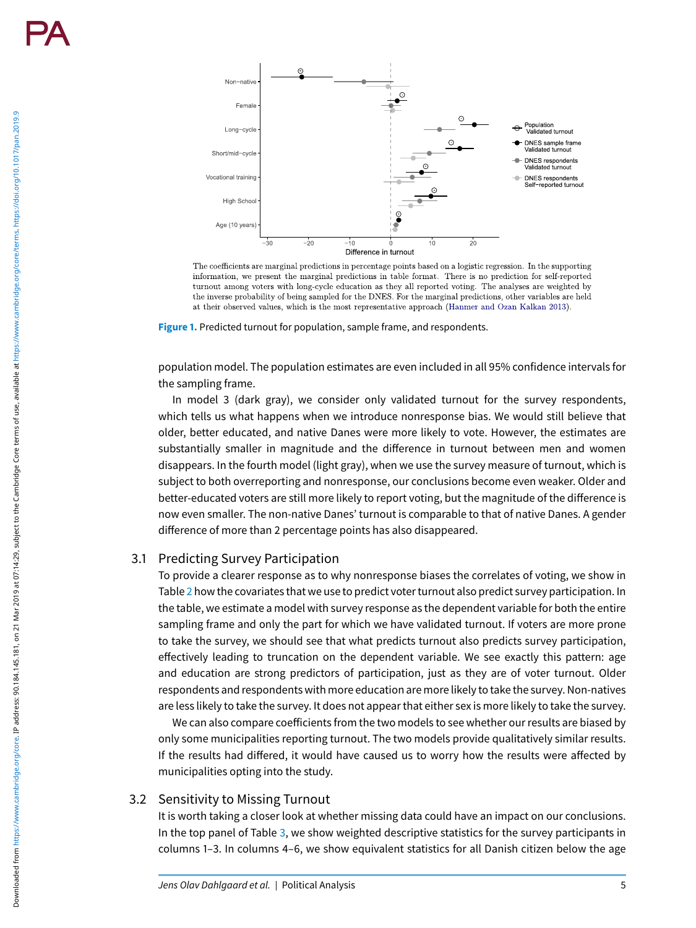Downloaded from https://www.cambridge.org/core. IP address: 90.194.145.181, on 21 Mar 2019 at 07:14:29, subject to the Cambridge Core terms of use, available at https://www.cambridge.org/core/terms. https://doi.org/10.101

Downloaded from https://www.cambridge.org/core. IP address: 90.184.145.181, on 21 Mar 2019 at 07:14:29, subject to the Cambridge Core terms of use, available at https://www.cambridge.org/toi.org/10.1017/pan.2019.9



The coefficients are marginal predictions in percentage points based on a logistic regression. In the supporting information, we present the marginal predictions in table format. There is no prediction for self-reported turnout among voters with long-cycle education as they all reported voting. The analyses are weighted by the inverse probability of being sampled for the DNES. For the marginal predictions, other variables are held at their observed values, which is the most representative approach (Hanmer and Ozan Kalkan 2013).

**Figure 1.** Predicted turnout for population, sample frame, and respondents.

population model. The population estimates are even included in all 95% confidence intervals for the sampling frame.

In model 3 (dark gray), we consider only validated turnout for the survey respondents, which tells us what happens when we introduce nonresponse bias. We would still believe that older, better educated, and native Danes were more likely to vote. However, the estimates are substantially smaller in magnitude and the difference in turnout between men and women disappears. In the fourth model (light gray), when we use the survey measure of turnout, which is subject to both overreporting and nonresponse, our conclusions become even weaker. Older and better-educated voters are still more likely to report voting, but the magnitude of the difference is now even smaller. The non-native Danes' turnout is comparable to that of native Danes. A gender difference of more than 2 percentage points has also disappeared.

#### 3.1 Predicting Survey Participation

To provide a clearer response as to why nonresponse biases the correlates of voting, we show in Table 2 how the covariates that we use to predict voter turnout also predict survey participation. In the table, we estimate a model with survey response as the dependent variable for both the entire sampling frame and only the part for which we have validated turnout. If voters are more prone to take the survey, we should see that what predicts turnout also predicts survey participation, effectively leading to truncation on the dependent variable. We see exactly this pattern: age and education are strong predictors of participation, just as they are of voter turnout. Older respondents and respondents with more education are more likely to take the survey. Non-natives are less likely to take the survey. It does not appear that either sex is more likely to take the survey.

We can also compare coefficients from the two models to see whether our results are biased by only some municipalities reporting turnout. The two models provide qualitatively similar results. If the results had differed, it would have caused us to worry how the results were affected by municipalities opting into the study.

## 3.2 Sensitivity to Missing Turnout

It is worth taking a closer look at whether missing data could have an impact on our conclusions. In the top panel of Table 3, we show weighted descriptive statistics for the survey participants in columns 1–3. In columns 4–6, we show equivalent statistics for all Danish citizen below the age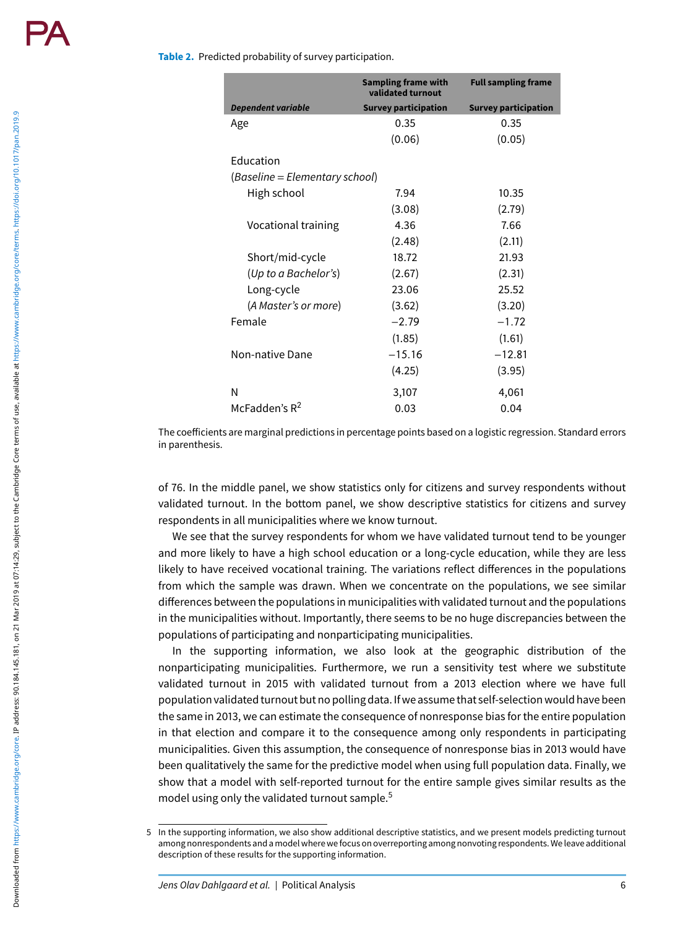#### **Table 2.** Predicted probability of survey participation.

|                                | <b>Sampling frame with</b><br>validated turnout | <b>Full sampling frame</b>  |  |  |  |  |  |  |
|--------------------------------|-------------------------------------------------|-----------------------------|--|--|--|--|--|--|
| <b>Dependent variable</b>      | <b>Survey participation</b>                     | <b>Survey participation</b> |  |  |  |  |  |  |
| Age                            | 0.35                                            | 0.35                        |  |  |  |  |  |  |
|                                | (0.06)                                          | (0.05)                      |  |  |  |  |  |  |
| <b>Education</b>               |                                                 |                             |  |  |  |  |  |  |
| (Baseline = Elementary school) |                                                 |                             |  |  |  |  |  |  |
| High school                    | 7.94                                            | 10.35                       |  |  |  |  |  |  |
|                                | (3.08)                                          | (2.79)                      |  |  |  |  |  |  |
| Vocational training            | 4.36                                            | 7.66                        |  |  |  |  |  |  |
|                                | (2.48)                                          | (2.11)                      |  |  |  |  |  |  |
| Short/mid-cycle                | 18.72                                           | 21.93                       |  |  |  |  |  |  |
| (Up to a Bachelor's)           | (2.67)                                          | (2.31)                      |  |  |  |  |  |  |
| Long-cycle                     | 23.06                                           | 25.52                       |  |  |  |  |  |  |
| (A Master's or more)           | (3.62)                                          | (3.20)                      |  |  |  |  |  |  |
| Female                         | $-2.79$                                         | $-1.72$                     |  |  |  |  |  |  |
|                                | (1.85)                                          | (1.61)                      |  |  |  |  |  |  |
| Non-native Dane                | $-15.16$                                        | $-12.81$                    |  |  |  |  |  |  |
|                                | (4.25)                                          | (3.95)                      |  |  |  |  |  |  |
| N                              | 3,107                                           | 4,061                       |  |  |  |  |  |  |
| McFadden's $R^2$               | 0.03                                            | 0.04                        |  |  |  |  |  |  |

The coefficients are marginal predictions in percentage points based on a logistic regression. Standard errors in parenthesis.

of 76. In the middle panel, we show statistics only for citizens and survey respondents without validated turnout. In the bottom panel, we show descriptive statistics for citizens and survey respondents in all municipalities where we know turnout.

We see that the survey respondents for whom we have validated turnout tend to be younger and more likely to have a high school education or a long-cycle education, while they are less likely to have received vocational training. The variations reflect differences in the populations from which the sample was drawn. When we concentrate on the populations, we see similar differences between the populations in municipalities with validated turnout and the populations in the municipalities without. Importantly, there seems to be no huge discrepancies between the populations of participating and nonparticipating municipalities.

In the supporting information, we also look at the geographic distribution of the nonparticipating municipalities. Furthermore, we run a sensitivity test where we substitute validated turnout in 2015 with validated turnout from a 2013 election where we have full population validated turnout but no polling data. If we assume that self-selection would have been the same in 2013, we can estimate the consequence of nonresponse bias for the entire population in that election and compare it to the consequence among only respondents in participating municipalities. Given this assumption, the consequence of nonresponse bias in 2013 would have been qualitatively the same for the predictive model when using full population data. Finally, we show that a model with self-reported turnout for the entire sample gives similar results as the model using only the validated turnout sample. 5

<sup>5</sup> In the supporting information, we also show additional descriptive statistics, and we present models predicting turnout among nonrespondents and a model where wefocus on overreporting among nonvoting respondents. We leave additional description of these results for the supporting information.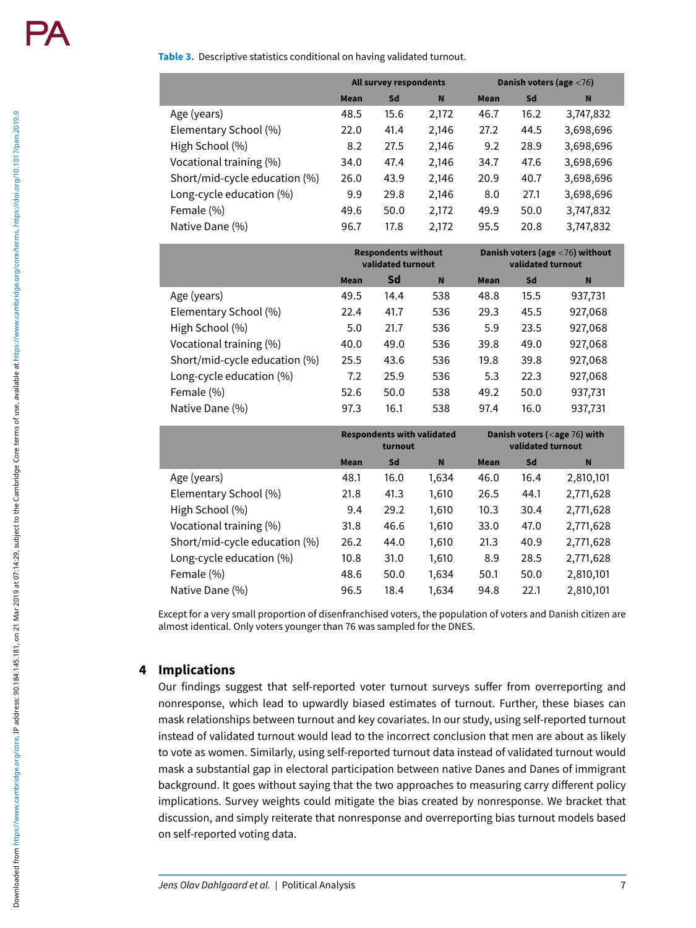Downloaded from https://www.cambridge.org/core. IP address: 90.184.145.181, on 21 Mar 2019 at 07:14:29, subject to the Cambridge Core terms of use, available at https://www.cambridge.org/toi.org/10.1017/pan.2019.9 Downloaded from https://www.cambridge.org/core. IP address: 90.194.145.181, on 21 Mar 2019 at 07:14:29, subject to the Cambridge Core terms of use, available at https://www.cambridge.org/core/terms. https://doi.org/10.101

#### **Table 3.** Descriptive statistics conditional on having validated turnout.

|                               | All survey respondents |      |       | Danish voters (age $<$ 76) |      |           |  |
|-------------------------------|------------------------|------|-------|----------------------------|------|-----------|--|
|                               | <b>Mean</b>            | Sd   | N     | <b>Mean</b>                | Sd   | N         |  |
| Age (years)                   | 48.5                   | 15.6 | 2,172 | 46.7                       | 16.2 | 3,747,832 |  |
| Elementary School (%)         | 22.0                   | 41.4 | 2,146 | 27.2                       | 44.5 | 3,698,696 |  |
| High School (%)               | 8.2                    | 27.5 | 2,146 | 9.2                        | 28.9 | 3,698,696 |  |
| Vocational training (%)       | 34.0                   | 47.4 | 2,146 | 34.7                       | 47.6 | 3,698,696 |  |
| Short/mid-cycle education (%) | 26.0                   | 43.9 | 2,146 | 20.9                       | 40.7 | 3,698,696 |  |
| Long-cycle education (%)      | 9.9                    | 29.8 | 2,146 | 8.0                        | 27.1 | 3,698,696 |  |
| Female (%)                    | 49.6                   | 50.0 | 2,172 | 49.9                       | 50.0 | 3,747,832 |  |
| Native Dane (%)               | 96.7                   | 17.8 | 2,172 | 95.5                       | 20.8 | 3,747,832 |  |

|                               | <b>Respondents without</b><br>validated turnout |      |     | Danish voters (age $<$ 76) without<br>validated turnout |      |         |  |
|-------------------------------|-------------------------------------------------|------|-----|---------------------------------------------------------|------|---------|--|
|                               | <b>Mean</b>                                     | Sd   | N   | <b>Mean</b>                                             | Sd   | N       |  |
| Age (years)                   | 49.5                                            | 14.4 | 538 | 48.8                                                    | 15.5 | 937,731 |  |
| Elementary School (%)         | 22.4                                            | 41.7 | 536 | 29.3                                                    | 45.5 | 927,068 |  |
| High School (%)               | 5.0                                             | 21.7 | 536 | 5.9                                                     | 23.5 | 927,068 |  |
| Vocational training (%)       | 40.0                                            | 49.0 | 536 | 39.8                                                    | 49.0 | 927,068 |  |
| Short/mid-cycle education (%) | 25.5                                            | 43.6 | 536 | 19.8                                                    | 39.8 | 927,068 |  |
| Long-cycle education (%)      | 7.2                                             | 25.9 | 536 | 5.3                                                     | 22.3 | 927,068 |  |
| Female (%)                    | 52.6                                            | 50.0 | 538 | 49.2                                                    | 50.0 | 937,731 |  |
| Native Dane (%)               | 97.3                                            | 16.1 | 538 | 97.4                                                    | 16.0 | 937,731 |  |

|                               | <b>Respondents with validated</b><br>turnout |      |          | Danish voters ( $<$ age 76) with<br>validated turnout |      |           |
|-------------------------------|----------------------------------------------|------|----------|-------------------------------------------------------|------|-----------|
|                               | <b>Mean</b>                                  | Sd   | <b>N</b> | <b>Mean</b>                                           | Sd   | N         |
| Age (years)                   | 48.1                                         | 16.0 | 1,634    | 46.0                                                  | 16.4 | 2,810,101 |
| Elementary School (%)         | 21.8                                         | 41.3 | 1,610    | 26.5                                                  | 44.1 | 2,771,628 |
| High School (%)               | 9.4                                          | 29.2 | 1,610    | 10.3                                                  | 30.4 | 2,771,628 |
| Vocational training (%)       | 31.8                                         | 46.6 | 1,610    | 33.0                                                  | 47.0 | 2,771,628 |
| Short/mid-cycle education (%) | 26.2                                         | 44.0 | 1,610    | 21.3                                                  | 40.9 | 2,771,628 |
| Long-cycle education (%)      | 10.8                                         | 31.0 | 1,610    | 8.9                                                   | 28.5 | 2,771,628 |
| Female (%)                    | 48.6                                         | 50.0 | 1,634    | 50.1                                                  | 50.0 | 2,810,101 |
| Native Dane (%)               | 96.5                                         | 18.4 | 1,634    | 94.8                                                  | 22.1 | 2,810,101 |

Except for a very small proportion of disenfranchised voters, the population of voters and Danish citizen are almost identical. Only voters younger than 76 was sampled for the DNES.

# **4 Implications**

Our findings suggest that self-reported voter turnout surveys suffer from overreporting and nonresponse, which lead to upwardly biased estimates of turnout. Further, these biases can mask relationships between turnout and key covariates. In our study, using self-reported turnout instead of validated turnout would lead to the incorrect conclusion that men are about as likely to vote as women. Similarly, using self-reported turnout data instead of validated turnout would mask a substantial gap in electoral participation between native Danes and Danes of immigrant background. It goes without saying that the two approaches to measuring carry different policy implications. Survey weights could mitigate the bias created by nonresponse. We bracket that discussion, and simply reiterate that nonresponse and overreporting bias turnout models based on self-reported voting data.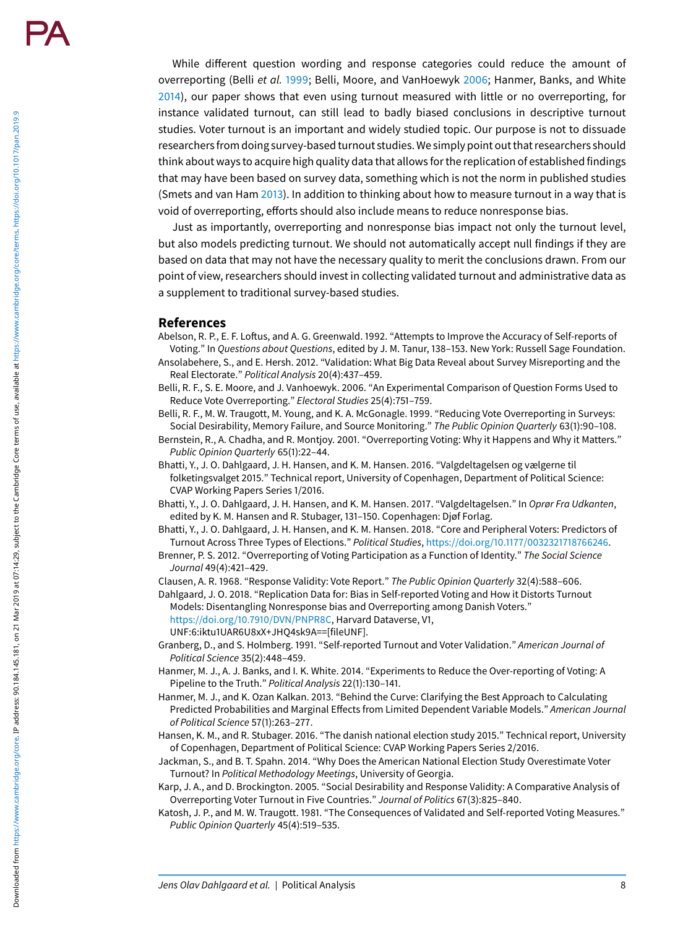While different question wording and response categories could reduce the amount of overreporting (Belli et al. 1999; Belli, Moore, and VanHoewyk 2006; Hanmer, Banks, and White 2014), our paper shows that even using turnout measured with little or no overreporting, for instance validated turnout, can still lead to badly biased conclusions in descriptive turnout studies. Voter turnout is an important and widely studied topic. Our purpose is not to dissuade researchersfrom doing survey-based turnout studies. We simply point out that researchers should think about ways to acquire high quality data that allows for the replication of established findings that may have been based on survey data, something which is not the norm in published studies (Smets and van Ham 2013). In addition to thinking about how to measure turnout in a way that is void of overreporting, efforts should also include means to reduce nonresponse bias.

Just as importantly, overreporting and nonresponse bias impact not only the turnout level, but also models predicting turnout. We should not automatically accept null findings if they are based on data that may not have the necessary quality to merit the conclusions drawn. From our point of view, researchers should invest in collecting validated turnout and administrative data as a supplement to traditional survey-based studies.

#### **References**

Abelson, R. P., E. F. Loftus, and A. G. Greenwald. 1992. "Attempts to Improve the Accuracy of Self-reports of Voting." In Questions about Questions, edited by J. M. Tanur, 138–153. New York: Russell Sage Foundation.

- Ansolabehere, S., and E. Hersh. 2012. "Validation: What Big Data Reveal about Survey Misreporting and the Real Electorate." Political Analysis 20(4):437–459.
- Belli, R. F., S. E. Moore, and J. Vanhoewyk. 2006. "An Experimental Comparison of Question Forms Used to Reduce Vote Overreporting." Electoral Studies 25(4):751–759.

Belli, R. F., M. W. Traugott, M. Young, and K. A. McGonagle. 1999. "Reducing Vote Overreporting in Surveys: Social Desirability, Memory Failure, and Source Monitoring." The Public Opinion Quarterly 63(1):90–108.

Bernstein, R., A. Chadha, and R. Montjoy. 2001. "Overreporting Voting: Why it Happens and Why it Matters." Public Opinion Quarterly 65(1):22–44.

Bhatti, Y., J. O. Dahlgaard, J. H. Hansen, and K. M. Hansen. 2016. "Valgdeltagelsen og vælgerne til folketingsvalget 2015." Technical report, University of Copenhagen, Department of Political Science: CVAP Working Papers Series 1/2016.

- Bhatti, Y., J. O. Dahlgaard, J. H. Hansen, and K. M. Hansen. 2017. "Valgdeltagelsen." In *Oprør Fra Udkanten*, edited by K. M. Hansen and R. Stubager, 131–150. Copenhagen: Djøf Forlag.
- Bhatti, Y., J. O. Dahlgaard, J. H. Hansen, and K. M. Hansen. 2018. "Core and Peripheral Voters: Predictors of Turnout Across Three Types of Elections." Political Studies, <https://doi.org/10.1177/0032321718766246>.
- Brenner, P. S. 2012. "Overreporting of Voting Participation as a Function of Identity." The Social Science Journal 49(4):421–429.

Clausen, A. R. 1968. "Response Validity: Vote Report." The Public Opinion Quarterly 32(4):588–606.

- Dahlgaard, J. O. 2018. "Replication Data for: Bias in Self-reported Voting and How it Distorts Turnout Models: Disentangling Nonresponse bias and Overreporting among Danish Voters." [https://doi.org/10.7910/DVN/PNPR8C,](https://doi.org/10.7910/DVN/PNPR8C) Harvard Dataverse, V1,
	- UNF:6:iktu1UAR6U8xX+JHQ4sk9A==[fileUNF].
- Granberg, D., and S. Holmberg. 1991. "Self-reported Turnout and Voter Validation." American Journal of Political Science 35(2):448–459.
- Hanmer, M. J., A. J. Banks, and I. K. White. 2014. "Experiments to Reduce the Over-reporting of Voting: A Pipeline to the Truth." Political Analysis 22(1):130–141.
- Hanmer, M. J., and K. Ozan Kalkan. 2013. "Behind the Curve: Clarifying the Best Approach to Calculating Predicted Probabilities and Marginal Effects from Limited Dependent Variable Models." American Journal of Political Science 57(1):263–277.
- Hansen, K. M., and R. Stubager. 2016. "The danish national election study 2015." Technical report, University of Copenhagen, Department of Political Science: CVAP Working Papers Series 2/2016.
- Jackman, S., and B. T. Spahn. 2014. "Why Does the American National Election Study Overestimate Voter Turnout? In Political Methodology Meetings, University of Georgia.
- Karp, J. A., and D. Brockington. 2005. "Social Desirability and Response Validity: A Comparative Analysis of Overreporting Voter Turnout in Five Countries." Journal of Politics 67(3):825–840.
- Katosh, J. P., and M. W. Traugott. 1981. "The Consequences of Validated and Self-reported Voting Measures." Public Opinion Quarterly 45(4):519–535.